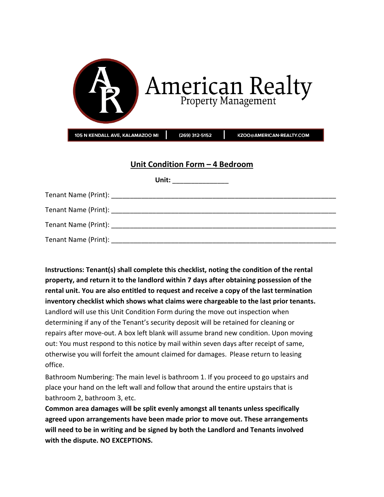| American Realty                         |                                                         |                          |  |
|-----------------------------------------|---------------------------------------------------------|--------------------------|--|
| 105 N KENDALL AVE, KALAMAZOO MI         | (269) 312-5152                                          | KZOO@AMERICAN-REALTY.COM |  |
|                                         | Unit Condition Form - 4 Bedroom<br>Unit: ______________ |                          |  |
|                                         |                                                         |                          |  |
| : Name (Print):                         |                                                         |                          |  |
| : Name (Print): _______________________ |                                                         |                          |  |
|                                         |                                                         |                          |  |

| Tenant Name (Print): The contract of the contract of the contract of the contract of the contract of the contract of the contract of the contract of the contract of the contract of the contract of the contract of the contr |
|--------------------------------------------------------------------------------------------------------------------------------------------------------------------------------------------------------------------------------|

**Instructions: Tenant(s) shall complete this checklist, noting the condition of the rental property, and return it to the landlord within 7 days after obtaining possession of the rental unit. You are also entitled to request and receive a copy of the last termination inventory checklist which shows what claims were chargeable to the last prior tenants.** Landlord will use this Unit Condition Form during the move out inspection when determining if any of the Tenant's security deposit will be retained for cleaning or repairs after move-out. A box left blank will assume brand new condition. Upon moving out: You must respond to this notice by mail within seven days after receipt of same, otherwise you will forfeit the amount claimed for damages. Please return to leasing office.

Bathroom Numbering: The main level is bathroom 1. If you proceed to go upstairs and place your hand on the left wall and follow that around the entire upstairs that is bathroom 2, bathroom 3, etc.

**Common area damages will be split evenly amongst all tenants unless specifically agreed upon arrangements have been made prior to move out. These arrangements will need to be in writing and be signed by both the Landlord and Tenants involved with the dispute. NO EXCEPTIONS.**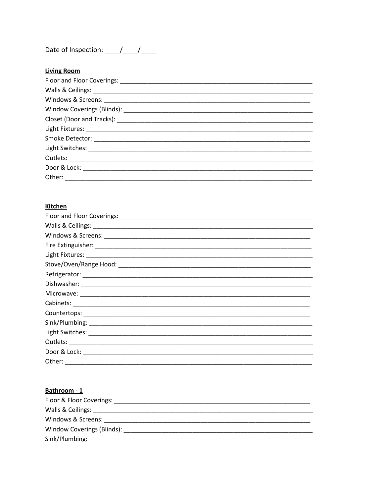## Date of Inspection: /////

| <b>Living Room</b> |
|--------------------|
|                    |
|                    |
|                    |
|                    |
|                    |
|                    |
|                    |
|                    |
|                    |
|                    |
| Other:             |

#### **Kitchen**

| Other: |  |
|--------|--|

# Bathroom - 1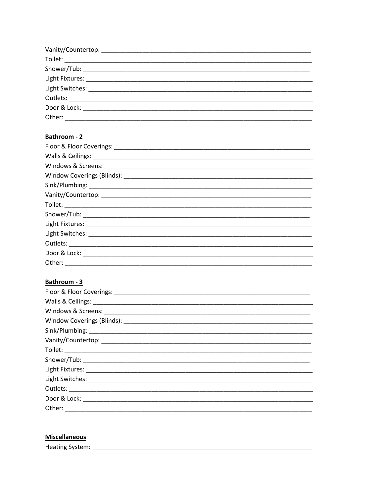### Bathroom - 2

| Other: |
|--------|

### Bathroom - 3

### **Miscellaneous**